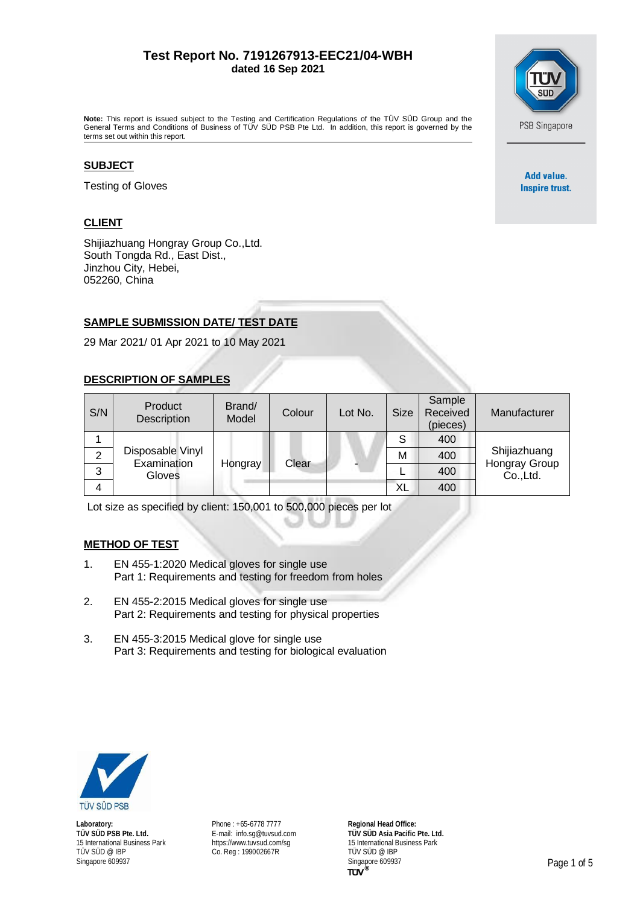#### **Test Report No. 7191267913-EEC21/04-WBH dated 16 Sep 2021**



**Note:** This report is issued subject to the Testing and Certification Regulations of the TÜV SÜD Group and the General Terms and Conditions of Business of TÜV SÜD PSB Pte Ltd. In addition, this report is governed by the terms set out within this report.

#### **SUBJECT**

Testing of Gloves

#### **CLIENT**

Shijiazhuang Hongray Group Co.,Ltd. South Tongda Rd., East Dist., Jinzhou City, Hebei, 052260, China

## **SAMPLE SUBMISSION DATE/ TEST DATE**

29 Mar 2021/ 01 Apr 2021 to 10 May 2021

#### **DESCRIPTION OF SAMPLES**

| S/N | Product<br>Description                                   | Brand/<br>Model | Colour | Lot No. | <b>Size</b> | Sample<br>Received<br>(pieces) | Manufacturer               |
|-----|----------------------------------------------------------|-----------------|--------|---------|-------------|--------------------------------|----------------------------|
|     | Disposable Vinyl<br>2<br>Examination<br>3<br>Gloves<br>4 | Hongray         | Clear  |         | S           | 400                            |                            |
|     |                                                          |                 |        |         | М           | 400                            | Shijiazhuang               |
|     |                                                          |                 |        |         |             | 400                            | Hongray Group<br>Co., Ltd. |
|     |                                                          |                 |        |         | XL          | 400                            |                            |

Lot size as specified by client: 150,001 to 500,000 pieces per lot

#### **METHOD OF TEST**

- 1. EN 455-1:2020 Medical gloves for single use Part 1: Requirements and testing for freedom from holes
- 2. EN 455-2:2015 Medical gloves for single use Part 2: Requirements and testing for physical properties
- 3. EN 455-3:2015 Medical glove for single use Part 3: Requirements and testing for biological evaluation



**Laboratory: TÜV SÜD PSB Pte. Ltd.** 15 International Business Park TÜV SÜD @ IBP Singapore 609937

Phone : +65-6778 7777 E-mail: [info.sg@tuvsud.com](mailto:info.sg@tuvsud.com) <https://www.tuvsud.com/sg> Co. Reg : 199002667R

**Regional Head Office: TÜV SÜD Asia Pacific Pte. Ltd.** 15 International Business Park TÜV SÜD @ IBP Singapore 609937 **Page 1 of 5**<br>TUV<sup>®</sup>

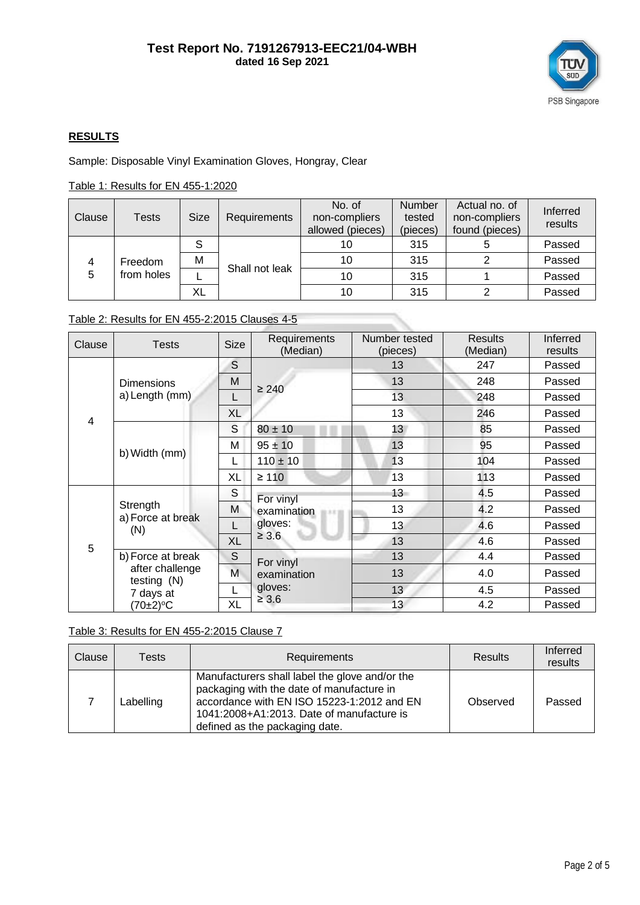

# **RESULTS**

Sample: Disposable Vinyl Examination Gloves, Hongray, Clear

# Table 1: Results for EN 455-1:2020

| Clause | Tests                 | Size | <b>Requirements</b> | No. of<br>non-compliers<br>allowed (pieces) | <b>Number</b><br>tested<br>(pieces) | Actual no. of<br>non-compliers<br>found (pieces) | Inferred<br>results |
|--------|-----------------------|------|---------------------|---------------------------------------------|-------------------------------------|--------------------------------------------------|---------------------|
| 5      | Freedom<br>from holes | S    | Shall not leak      | 10                                          | 315                                 |                                                  | Passed              |
|        |                       | M    |                     | 10                                          | 315                                 |                                                  | Passed              |
|        |                       |      |                     | 10                                          | 315                                 |                                                  | Passed              |
|        |                       | XL   |                     | 10                                          | 315                                 |                                                  | Passed              |

## Table 2: Results for EN 455-2:2015 Clauses 4-5

| Clause | <b>Tests</b>                                                       | <b>Size</b> | Requirements<br>(Median)                          | Number tested<br>(pieces) | <b>Results</b><br>(Median) | Inferred<br>results |
|--------|--------------------------------------------------------------------|-------------|---------------------------------------------------|---------------------------|----------------------------|---------------------|
|        | <b>Dimensions</b><br>a) Length (mm)                                | S           | $\geq 240$                                        | 13                        | 247                        | Passed              |
|        |                                                                    | M           |                                                   | 13                        | 248                        | Passed              |
|        |                                                                    |             |                                                   | 13                        | 248                        | Passed              |
| 4      |                                                                    | XL          |                                                   | 13                        | 246                        | Passed              |
|        | b) Width (mm)                                                      | S           | $80 \pm 10$                                       | 13 <sup>13</sup>          | 85                         | Passed              |
|        |                                                                    | M           | $95 \pm 10$                                       | 13                        | 95                         | Passed              |
|        |                                                                    |             | $110 \pm 10$                                      | 13                        | 104                        | Passed              |
|        |                                                                    | XL          | $\geq 110$                                        | 13                        | 113                        | Passed              |
|        | Strength<br>a) Force at break<br>(N)                               | S           | For vinyl<br>examination                          | 13 <sup>7</sup>           | 4.5                        | Passed              |
|        |                                                                    | M           |                                                   | 13                        | 4.2                        | Passed              |
|        |                                                                    | gloves:     |                                                   | 13                        | 4.6                        | Passed              |
| 5      |                                                                    | <b>XL</b>   | $\geq 3.6$                                        | 13                        | 4.6                        | Passed              |
|        | b) Force at break<br>after challenge<br>testing $(N)$<br>7 days at | S           | For vinyl<br>examination<br>gloves:<br>$\geq 3.6$ | 13                        | 4.4                        | Passed              |
|        |                                                                    | M           |                                                   | 13                        | 4.0                        | Passed              |
|        |                                                                    |             |                                                   | 13                        | 4.5                        | Passed              |
|        | (70±2)°C                                                           | XL          |                                                   | 13                        | 4.2                        | Passed              |

# Table 3: Results for EN 455-2:2015 Clause 7

| Clause | Tests     | <b>Requirements</b>                                                                                                                                                                                                      | <b>Results</b> | Inferred<br>results |
|--------|-----------|--------------------------------------------------------------------------------------------------------------------------------------------------------------------------------------------------------------------------|----------------|---------------------|
|        | Labelling | Manufacturers shall label the glove and/or the<br>packaging with the date of manufacture in<br>accordance with EN ISO 15223-1:2012 and EN<br>1041:2008+A1:2013. Date of manufacture is<br>defined as the packaging date. | Observed       | Passed              |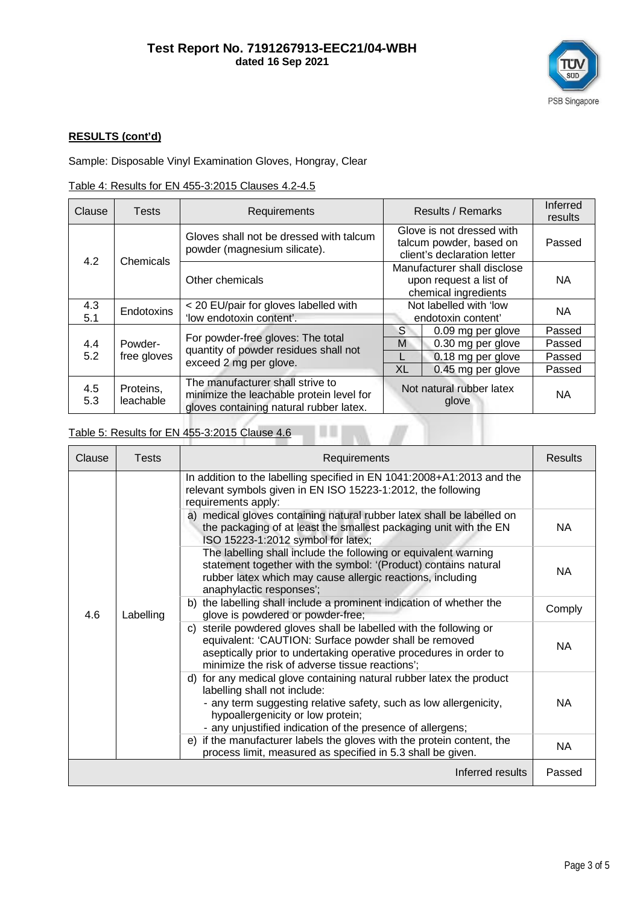

# **RESULTS (cont'd)**

## Sample: Disposable Vinyl Examination Gloves, Hongray, Clear

## Table 4: Results for EN 455-3:2015 Clauses 4.2-4.5

| Clause     | Tests                  | Requirements                                                                                                            | Results / Remarks                                                                                | Inferred<br>results                  |
|------------|------------------------|-------------------------------------------------------------------------------------------------------------------------|--------------------------------------------------------------------------------------------------|--------------------------------------|
| 4.2        | Chemicals              | Gloves shall not be dressed with talcum<br>powder (magnesium silicate).                                                 | Glove is not dressed with<br>talcum powder, based on<br>client's declaration letter              | Passed                               |
|            |                        | Manufacturer shall disclose<br>Other chemicals<br>upon request a list of<br>chemical ingredients                        |                                                                                                  | ΝA                                   |
| 4.3<br>5.1 | Endotoxins             | < 20 EU/pair for gloves labelled with<br>'low endotoxin content'.                                                       | Not labelled with 'low<br>endotoxin content'                                                     | ΝA                                   |
| 4.4<br>5.2 | Powder-<br>free gloves | For powder-free gloves: The total<br>quantity of powder residues shall not<br>exceed 2 mg per glove.                    | S<br>0.09 mg per glove<br>M<br>0.30 mg per glove<br>0.18 mg per glove<br>XL<br>0.45 mg per glove | Passed<br>Passed<br>Passed<br>Passed |
| 4.5<br>5.3 | Proteins,<br>leachable | The manufacturer shall strive to<br>minimize the leachable protein level for<br>gloves containing natural rubber latex. | Not natural rubber latex<br>glove                                                                | NA                                   |

# Table 5: Results for EN 455-3:2015 Clause 4.6

| Clause           | <b>Tests</b> | Requirements                                                                                                                                                                                                                                                                 | <b>Results</b> |  |
|------------------|--------------|------------------------------------------------------------------------------------------------------------------------------------------------------------------------------------------------------------------------------------------------------------------------------|----------------|--|
| 4.6              | Labelling    | In addition to the labelling specified in EN 1041:2008+A1:2013 and the<br>relevant symbols given in EN ISO 15223-1:2012, the following<br>requirements apply:                                                                                                                |                |  |
|                  |              | a) medical gloves containing natural rubber latex shall be labelled on<br>the packaging of at least the smallest packaging unit with the EN<br>ISO 15223-1:2012 symbol for latex;                                                                                            | <b>NA</b>      |  |
|                  |              | The labelling shall include the following or equivalent warning<br>statement together with the symbol: '(Product) contains natural<br>rubber latex which may cause allergic reactions, including<br>anaphylactic responses';                                                 | ΝA             |  |
|                  |              | b) the labelling shall include a prominent indication of whether the<br>glove is powdered or powder-free;                                                                                                                                                                    | Comply         |  |
|                  |              | c) sterile powdered gloves shall be labelled with the following or<br>equivalent: 'CAUTION: Surface powder shall be removed<br>aseptically prior to undertaking operative procedures in order to<br>minimize the risk of adverse tissue reactions';                          | <b>NA</b>      |  |
|                  |              | d) for any medical glove containing natural rubber latex the product<br>labelling shall not include:<br>- any term suggesting relative safety, such as low allergenicity,<br>hypoallergenicity or low protein;<br>- any unjustified indication of the presence of allergens; | <b>NA</b>      |  |
|                  |              | if the manufacturer labels the gloves with the protein content, the<br>e)<br>process limit, measured as specified in 5.3 shall be given.                                                                                                                                     | <b>NA</b>      |  |
| Inferred results |              |                                                                                                                                                                                                                                                                              |                |  |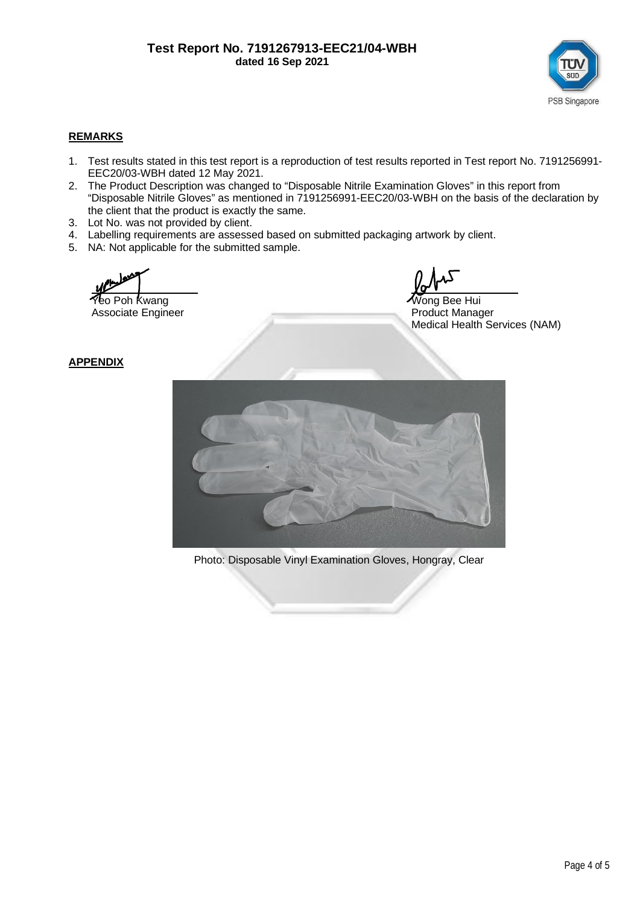

## **REMARKS**

- 1. Test results stated in this test report is a reproduction of test results reported in Test report No. 7191256991- EEC20/03-WBH dated 12 May 2021.
- 2. The Product Description was changed to "Disposable Nitrile Examination Gloves" in this report from "Disposable Nitrile Gloves" as mentioned in 7191256991-EEC20/03-WBH on the basis of the declaration by the client that the product is exactly the same.
- 3. Lot No. was not provided by client.
- 4. Labelling requirements are assessed based on submitted packaging artwork by client.
- 5. NA: Not applicable for the submitted sample.

Yeo Poh Kwang Wong Bee Hui Associate Engineer

Medical Health Services (NAM)

#### **APPENDIX**



Photo: Disposable Vinyl Examination Gloves, Hongray, Clear